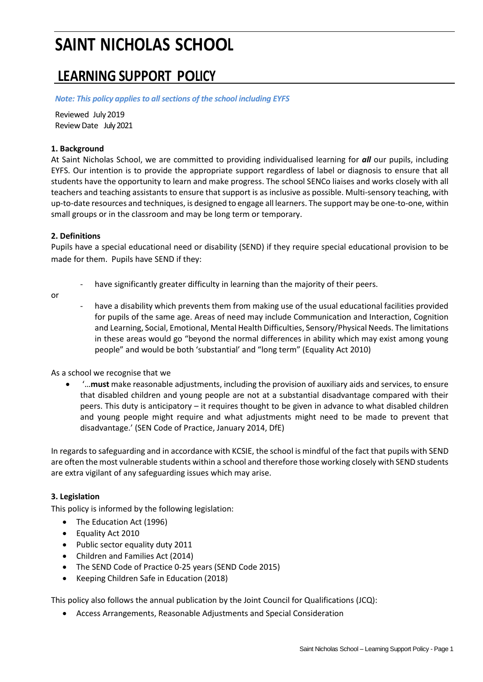# **SAINT NICHOLAS SCHOOL**

# **LEARNING SUPPORT POLICY**

*Note: This policy appliesto allsections of the school including EYFS*

Reviewed July2019 Review Date July 2021

# **1. Background**

At Saint Nicholas School, we are committed to providing individualised learning for *all* our pupils, including EYFS. Our intention is to provide the appropriate support regardless of label or diagnosis to ensure that all students have the opportunity to learn and make progress. The school SENCo liaises and works closely with all teachers and teaching assistants to ensure that support is as inclusive as possible. Multi-sensory teaching, with up-to-date resources and techniques, is designed to engage all learners. The support may be one-to-one, within small groups or in the classroom and may be long term or temporary.

# **2. Definitions**

Pupils have a special educational need or disability (SEND) if they require special educational provision to be made for them. Pupils have SEND if they:

or

- have significantly greater difficulty in learning than the majority of their peers.
- have a disability which prevents them from making use of the usual educational facilities provided for pupils of the same age. Areas of need may include Communication and Interaction, Cognition and Learning, Social, Emotional, Mental Health Difficulties, Sensory/Physical Needs. The limitations in these areas would go "beyond the normal differences in ability which may exist among young people" and would be both 'substantial' and "long term" (Equality Act 2010)

As a school we recognise that we

 '…**must** make reasonable adjustments, including the provision of auxiliary aids and services, to ensure that disabled children and young people are not at a substantial disadvantage compared with their peers. This duty is anticipatory – it requires thought to be given in advance to what disabled children and young people might require and what adjustments might need to be made to prevent that disadvantage.' (SEN Code of Practice, January 2014, DfE)

In regards to safeguarding and in accordance with KCSIE, the school is mindful of the fact that pupils with SEND are often the most vulnerable students within a school and therefore those working closely with SEND students are extra vigilant of any safeguarding issues which may arise.

#### **3. Legislation**

This policy is informed by the following legislation:

- The Education Act (1996)
- Equality Act 2010
- Public sector equality duty 2011
- Children and Families Act (2014)
- The SEND Code of Practice 0-25 years (SEND Code 2015)
- Keeping Children Safe in Education (2018)

This policy also follows the annual publication by the Joint Council for Qualifications (JCQ):

Access Arrangements, Reasonable Adjustments and Special Consideration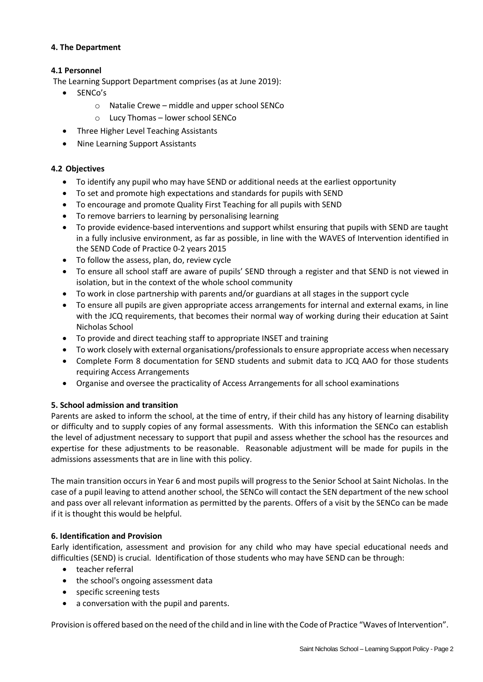# **4. The Department**

# **4.1 Personnel**

The Learning Support Department comprises (as at June 2019):

- SENCo's
	- o Natalie Crewe middle and upper school SENCo
	- o Lucy Thomas lower school SENCo
- Three Higher Level Teaching Assistants
- Nine Learning Support Assistants

#### **4.2 Objectives**

- To identify any pupil who may have SEND or additional needs at the earliest opportunity
- To set and promote high expectations and standards for pupils with SEND
- To encourage and promote Quality First Teaching for all pupils with SEND
- To remove barriers to learning by personalising learning
- To provide evidence-based interventions and support whilst ensuring that pupils with SEND are taught in a fully inclusive environment, as far as possible, in line with the WAVES of Intervention identified in the SEND Code of Practice 0-2 years 2015
- To follow the assess, plan, do, review cycle
- To ensure all school staff are aware of pupils' SEND through a register and that SEND is not viewed in isolation, but in the context of the whole school community
- To work in close partnership with parents and/or guardians at all stages in the support cycle
- To ensure all pupils are given appropriate access arrangements for internal and external exams, in line with the JCQ requirements, that becomes their normal way of working during their education at Saint Nicholas School
- To provide and direct teaching staff to appropriate INSET and training
- To work closely with external organisations/professionals to ensure appropriate access when necessary
- Complete Form 8 documentation for SEND students and submit data to JCQ AAO for those students requiring Access Arrangements
- Organise and oversee the practicality of Access Arrangements for all school examinations

# **5. School admission and transition**

Parents are asked to inform the school, at the time of entry, if their child has any history of learning disability or difficulty and to supply copies of any formal assessments. With this information the SENCo can establish the level of adjustment necessary to support that pupil and assess whether the school has the resources and expertise for these adjustments to be reasonable. Reasonable adjustment will be made for pupils in the admissions assessments that are in line with this policy.

The main transition occurs in Year 6 and most pupils will progress to the Senior School at Saint Nicholas. In the case of a pupil leaving to attend another school, the SENCo will contact the SEN department of the new school and pass over all relevant information as permitted by the parents. Offers of a visit by the SENCo can be made if it is thought this would be helpful.

#### **6. Identification and Provision**

Early identification, assessment and provision for any child who may have special educational needs and difficulties (SEND) is crucial. Identification of those students who may have SEND can be through:

- teacher referral
- the school's ongoing assessment data
- specific screening tests
- a conversation with the pupil and parents.

Provision is offered based on the need of the child and in line with the Code of Practice "Waves of Intervention".